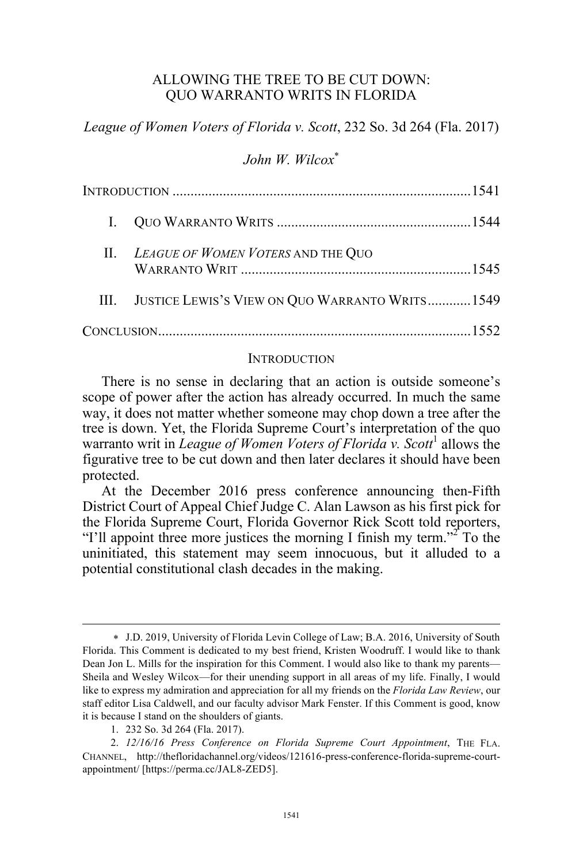## ALLOWING THE TREE TO BE CUT DOWN: QUO WARRANTO WRITS IN FLORIDA

*League of Women Voters of Florida v. Scott*, 232 So. 3d 264 (Fla. 2017)

# *John W. Wilcox*\*

|  | II. LEAGUE OF WOMEN VOTERS AND THE QUO               |  |
|--|------------------------------------------------------|--|
|  | III. JUSTICE LEWIS'S VIEW ON QUO WARRANTO WRITS 1549 |  |
|  |                                                      |  |

#### **INTRODUCTION**

There is no sense in declaring that an action is outside someone's scope of power after the action has already occurred. In much the same way, it does not matter whether someone may chop down a tree after the tree is down. Yet, the Florida Supreme Court's interpretation of the quo warranto writ in *League of Women Voters of Florida v. Scott*<sup>1</sup> allows the figurative tree to be cut down and then later declares it should have been protected.

At the December 2016 press conference announcing then-Fifth District Court of Appeal Chief Judge C. Alan Lawson as his first pick for the Florida Supreme Court, Florida Governor Rick Scott told reporters, "I'll appoint three more justices the morning I finish my term." To the uninitiated, this statement may seem innocuous, but it alluded to a potential constitutional clash decades in the making.

 $\overline{a}$ 

<sup>\*</sup> J.D. 2019, University of Florida Levin College of Law; B.A. 2016, University of South Florida. This Comment is dedicated to my best friend, Kristen Woodruff. I would like to thank Dean Jon L. Mills for the inspiration for this Comment. I would also like to thank my parents— Sheila and Wesley Wilcox—for their unending support in all areas of my life. Finally, I would like to express my admiration and appreciation for all my friends on the *Florida Law Review*, our staff editor Lisa Caldwell, and our faculty advisor Mark Fenster. If this Comment is good, know it is because I stand on the shoulders of giants.

<sup>1.</sup> 232 So. 3d 264 (Fla. 2017).

<sup>2.</sup> *12/16/16 Press Conference on Florida Supreme Court Appointment*, THE FLA. CHANNEL, http://thefloridachannel.org/videos/121616-press-conference-florida-supreme-courtappointment/ [https://perma.cc/JAL8-ZED5].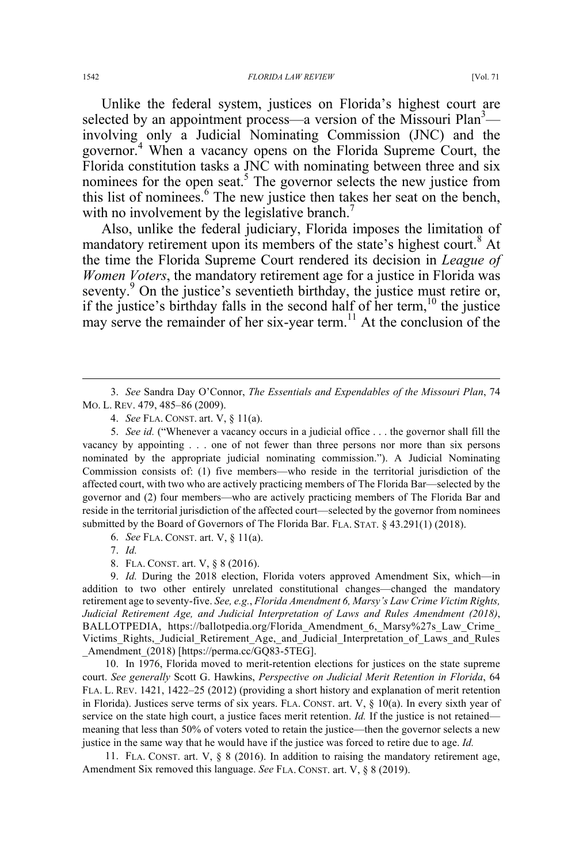Unlike the federal system, justices on Florida's highest court are selected by an appointment process—a version of the Missouri Plan<sup>3</sup> involving only a Judicial Nominating Commission (JNC) and the governor.<sup>4</sup> When a vacancy opens on the Florida Supreme Court, the Florida constitution tasks a JNC with nominating between three and six nominees for the open seat.<sup>5</sup> The governor selects the new justice from this list of nominees.<sup>6</sup> The new justice then takes her seat on the bench, with no involvement by the legislative branch.<sup>7</sup>

Also, unlike the federal judiciary, Florida imposes the limitation of mandatory retirement upon its members of the state's highest court.<sup>8</sup> At the time the Florida Supreme Court rendered its decision in *League of Women Voters*, the mandatory retirement age for a justice in Florida was seventy.<sup>9</sup> On the justice's seventieth birthday, the justice must retire or, if the justice's birthday falls in the second half of her term, <sup>10</sup> the justice may serve the remainder of her six-year term.<sup>11</sup> At the conclusion of the

5. *See id.* ("Whenever a vacancy occurs in a judicial office . . . the governor shall fill the vacancy by appointing . . . one of not fewer than three persons nor more than six persons nominated by the appropriate judicial nominating commission."). A Judicial Nominating Commission consists of: (1) five members—who reside in the territorial jurisdiction of the affected court, with two who are actively practicing members of The Florida Bar—selected by the governor and (2) four members—who are actively practicing members of The Florida Bar and reside in the territorial jurisdiction of the affected court—selected by the governor from nominees submitted by the Board of Governors of The Florida Bar. FLA. STAT. § 43.291(1) (2018).

6. *See* FLA. CONST. art. V, § 11(a).

10. In 1976, Florida moved to merit-retention elections for justices on the state supreme court. *See generally* Scott G. Hawkins, *Perspective on Judicial Merit Retention in Florida*, 64 FLA. L. REV. 1421, 1422–25 (2012) (providing a short history and explanation of merit retention in Florida). Justices serve terms of six years. FLA. CONST. art. V, § 10(a). In every sixth year of service on the state high court, a justice faces merit retention. *Id.* If the justice is not retained meaning that less than 50% of voters voted to retain the justice—then the governor selects a new justice in the same way that he would have if the justice was forced to retire due to age. *Id.*

11. FLA. CONST. art. V, § 8 (2016). In addition to raising the mandatory retirement age, Amendment Six removed this language. *See* FLA. CONST. art. V, § 8 (2019).

 <sup>3.</sup> *See* Sandra Day O'Connor, *The Essentials and Expendables of the Missouri Plan*, 74 MO. L. REV. 479, 485–86 (2009).

<sup>4.</sup> *See* FLA. CONST. art. V, § 11(a).

<sup>7.</sup> *Id.*

<sup>8.</sup> FLA. CONST. art. V, § 8 (2016).

<sup>9.</sup> *Id.* During the 2018 election, Florida voters approved Amendment Six, which—in addition to two other entirely unrelated constitutional changes—changed the mandatory retirement age to seventy-five. *See, e.g.*, *Florida Amendment 6, Marsy's Law Crime Victim Rights, Judicial Retirement Age, and Judicial Interpretation of Laws and Rules Amendment (2018)*, BALLOTPEDIA, https://ballotpedia.org/Florida\_Amendment 6, Marsy%27s Law Crime Victims\_Rights,\_Judicial\_Retirement\_Age,\_and\_Judicial\_Interpretation\_of\_Laws\_and\_Rules \_Amendment\_(2018) [https://perma.cc/GQ83-5TEG].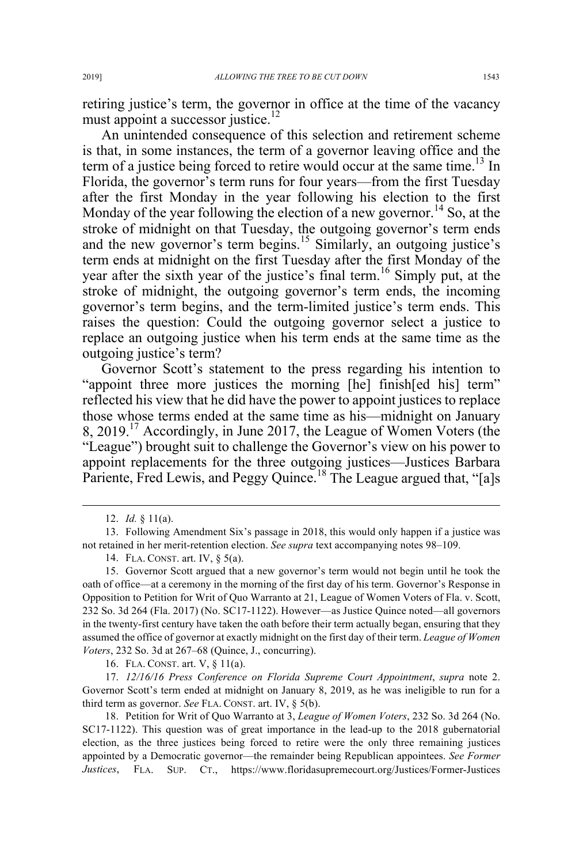retiring justice's term, the governor in office at the time of the vacancy must appoint a successor justice.<sup>12</sup>

An unintended consequence of this selection and retirement scheme is that, in some instances, the term of a governor leaving office and the term of a justice being forced to retire would occur at the same time.<sup>13</sup> In Florida, the governor's term runs for four years—from the first Tuesday after the first Monday in the year following his election to the first Monday of the year following the election of a new governor.<sup>14</sup> So, at the stroke of midnight on that Tuesday, the outgoing governor's term ends and the new governor's term begins.<sup>15</sup> Similarly, an outgoing justice's term ends at midnight on the first Tuesday after the first Monday of the year after the sixth year of the justice's final term.<sup>16</sup> Simply put, at the stroke of midnight, the outgoing governor's term ends, the incoming governor's term begins, and the term-limited justice's term ends. This raises the question: Could the outgoing governor select a justice to replace an outgoing justice when his term ends at the same time as the outgoing justice's term?

Governor Scott's statement to the press regarding his intention to "appoint three more justices the morning [he] finish[ed his] term" reflected his view that he did have the power to appoint justices to replace those whose terms ended at the same time as his—midnight on January 8, 2019.<sup>17</sup> Accordingly, in June 2017, the League of Women Voters (the "League") brought suit to challenge the Governor's view on his power to appoint replacements for the three outgoing justices—Justices Barbara Pariente, Fred Lewis, and Peggy Quince.<sup>18</sup> The League argued that, "[a]s

16. FLA. CONST. art. V, § 11(a).

17. *12/16/16 Press Conference on Florida Supreme Court Appointment*, *supra* note 2. Governor Scott's term ended at midnight on January 8, 2019, as he was ineligible to run for a third term as governor. *See* FLA. CONST. art. IV, § 5(b).

18. Petition for Writ of Quo Warranto at 3, *League of Women Voters*, 232 So. 3d 264 (No. SC17-1122). This question was of great importance in the lead-up to the 2018 gubernatorial election, as the three justices being forced to retire were the only three remaining justices appointed by a Democratic governor—the remainder being Republican appointees. *See Former Justices*, FLA. SUP. CT., https://www.floridasupremecourt.org/Justices/Former-Justices

 <sup>12.</sup> *Id.* § 11(a).

<sup>13.</sup> Following Amendment Six's passage in 2018, this would only happen if a justice was not retained in her merit-retention election. *See supra* text accompanying notes 98–109.

<sup>14.</sup> FLA. CONST. art. IV, § 5(a).

<sup>15.</sup> Governor Scott argued that a new governor's term would not begin until he took the oath of office—at a ceremony in the morning of the first day of his term. Governor's Response in Opposition to Petition for Writ of Quo Warranto at 21, League of Women Voters of Fla. v. Scott, 232 So. 3d 264 (Fla. 2017) (No. SC17-1122). However—as Justice Quince noted—all governors in the twenty-first century have taken the oath before their term actually began, ensuring that they assumed the office of governor at exactly midnight on the first day of their term. *League of Women Voters*, 232 So. 3d at 267–68 (Quince, J., concurring).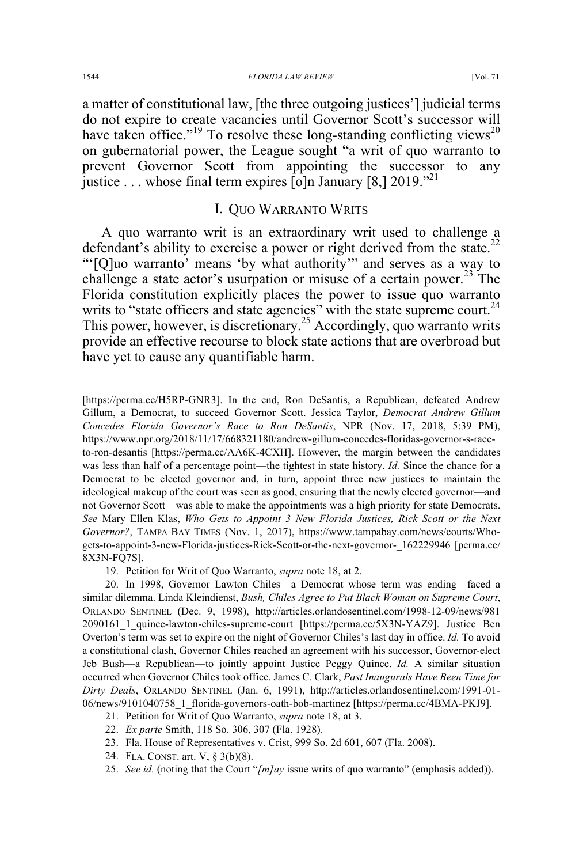a matter of constitutional law, [the three outgoing justices'] judicial terms do not expire to create vacancies until Governor Scott's successor will have taken office."<sup>19</sup> To resolve these long-standing conflicting views<sup>20</sup> on gubernatorial power, the League sought "a writ of quo warranto to prevent Governor Scott from appointing the successor to any justice ... whose final term expires [o]n January  $[8, 2019]^{21}$ 

# I. QUO WARRANTO WRITS

A quo warranto writ is an extraordinary writ used to challenge a defendant's ability to exercise a power or right derived from the state.<sup>22</sup> "'[Q]uo warranto' means 'by what authority'" and serves as a way to challenge a state actor's usurpation or misuse of a certain power.<sup>23</sup> The Florida constitution explicitly places the power to issue quo warranto writs to "state officers and state agencies" with the state supreme court.<sup>24</sup> This power, however, is discretionary.<sup>25</sup> Accordingly, quo warranto writs provide an effective recourse to block state actions that are overbroad but have yet to cause any quantifiable harm.

19. Petition for Writ of Quo Warranto, *supra* note 18, at 2.

- 23. Fla. House of Representatives v. Crist, 999 So. 2d 601, 607 (Fla. 2008).
- 24. FLA. CONST. art. V, § 3(b)(8).
- 25. *See id.* (noting that the Court "*[m]ay* issue writs of quo warranto" (emphasis added)).

 <sup>[</sup>https://perma.cc/H5RP-GNR3]. In the end, Ron DeSantis, a Republican, defeated Andrew Gillum, a Democrat, to succeed Governor Scott. Jessica Taylor, *Democrat Andrew Gillum Concedes Florida Governor's Race to Ron DeSantis*, NPR (Nov. 17, 2018, 5:39 PM), https://www.npr.org/2018/11/17/668321180/andrew-gillum-concedes-floridas-governor-s-raceto-ron-desantis [https://perma.cc/AA6K-4CXH]. However, the margin between the candidates was less than half of a percentage point—the tightest in state history. *Id.* Since the chance for a Democrat to be elected governor and, in turn, appoint three new justices to maintain the ideological makeup of the court was seen as good, ensuring that the newly elected governor—and not Governor Scott—was able to make the appointments was a high priority for state Democrats. *See* Mary Ellen Klas, *Who Gets to Appoint 3 New Florida Justices, Rick Scott or the Next Governor?*, TAMPA BAY TIMES (Nov. 1, 2017), https://www.tampabay.com/news/courts/Whogets-to-appoint-3-new-Florida-justices-Rick-Scott-or-the-next-governor-\_162229946 [perma.cc/ 8X3N-FQ7S].

<sup>20.</sup> In 1998, Governor Lawton Chiles—a Democrat whose term was ending—faced a similar dilemma. Linda Kleindienst, *Bush, Chiles Agree to Put Black Woman on Supreme Court*, ORLANDO SENTINEL (Dec. 9, 1998), http://articles.orlandosentinel.com/1998-12-09/news/981 2090161\_1\_quince-lawton-chiles-supreme-court [https://perma.cc/5X3N-YAZ9]. Justice Ben Overton's term was set to expire on the night of Governor Chiles's last day in office. *Id.* To avoid a constitutional clash, Governor Chiles reached an agreement with his successor, Governor-elect Jeb Bush—a Republican—to jointly appoint Justice Peggy Quince. *Id.* A similar situation occurred when Governor Chiles took office. James C. Clark, *Past Inaugurals Have Been Time for Dirty Deals*, ORLANDO SENTINEL (Jan. 6, 1991), http://articles.orlandosentinel.com/1991-01- 06/news/9101040758\_1\_florida-governors-oath-bob-martinez [https://perma.cc/4BMA-PKJ9].

<sup>21.</sup> Petition for Writ of Quo Warranto, *supra* note 18, at 3.

<sup>22.</sup> *Ex parte* Smith, 118 So. 306, 307 (Fla. 1928).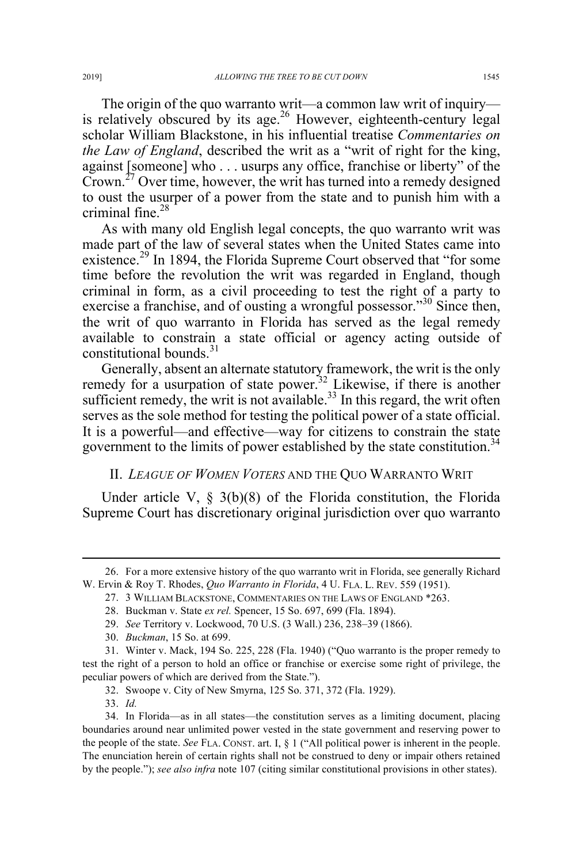The origin of the quo warranto writ—a common law writ of inquiry is relatively obscured by its age. $26$  However, eighteenth-century legal scholar William Blackstone, in his influential treatise *Commentaries on the Law of England*, described the writ as a "writ of right for the king, against [someone] who . . . usurps any office, franchise or liberty" of the Crown.<sup>27</sup> Over time, however, the writ has turned into a remedy designed to oust the usurper of a power from the state and to punish him with a criminal fine. $28$ 

As with many old English legal concepts, the quo warranto writ was made part of the law of several states when the United States came into existence.<sup>29</sup> In 1894, the Florida Supreme Court observed that "for some time before the revolution the writ was regarded in England, though criminal in form, as a civil proceeding to test the right of a party to exercise a franchise, and of ousting a wrongful possessor."<sup>30</sup> Since then, the writ of quo warranto in Florida has served as the legal remedy available to constrain a state official or agency acting outside of constitutional bounds. $31$ 

Generally, absent an alternate statutory framework, the writ is the only remedy for a usurpation of state power.<sup>32</sup> Likewise, if there is another sufficient remedy, the writ is not available. $33$  In this regard, the writ often serves as the sole method for testing the political power of a state official. It is a powerful—and effective—way for citizens to constrain the state government to the limits of power established by the state constitution.<sup>34</sup>

## II. *LEAGUE OF WOMEN VOTERS* AND THE QUO WARRANTO WRIT

Under article V, § 3(b)(8) of the Florida constitution, the Florida Supreme Court has discretionary original jurisdiction over quo warranto

 <sup>26.</sup> For a more extensive history of the quo warranto writ in Florida, see generally Richard W. Ervin & Roy T. Rhodes, *Quo Warranto in Florida*, 4 U. FLA. L. REV. 559 (1951).

<sup>27.</sup> 3 WILLIAM BLACKSTONE, COMMENTARIES ON THE LAWS OF ENGLAND \*263.

<sup>28.</sup> Buckman v. State *ex rel.* Spencer, 15 So. 697, 699 (Fla. 1894).

<sup>29.</sup> *See* Territory v. Lockwood, 70 U.S. (3 Wall.) 236, 238–39 (1866).

<sup>30.</sup> *Buckman*, 15 So. at 699.

<sup>31.</sup> Winter v. Mack, 194 So. 225, 228 (Fla. 1940) ("Quo warranto is the proper remedy to test the right of a person to hold an office or franchise or exercise some right of privilege, the peculiar powers of which are derived from the State.").

<sup>32.</sup> Swoope v. City of New Smyrna, 125 So. 371, 372 (Fla. 1929).

<sup>33.</sup> *Id.*

<sup>34.</sup> In Florida—as in all states—the constitution serves as a limiting document, placing boundaries around near unlimited power vested in the state government and reserving power to the people of the state. *See* FLA. CONST. art. I, § 1 ("All political power is inherent in the people. The enunciation herein of certain rights shall not be construed to deny or impair others retained by the people."); *see also infra* note 107 (citing similar constitutional provisions in other states).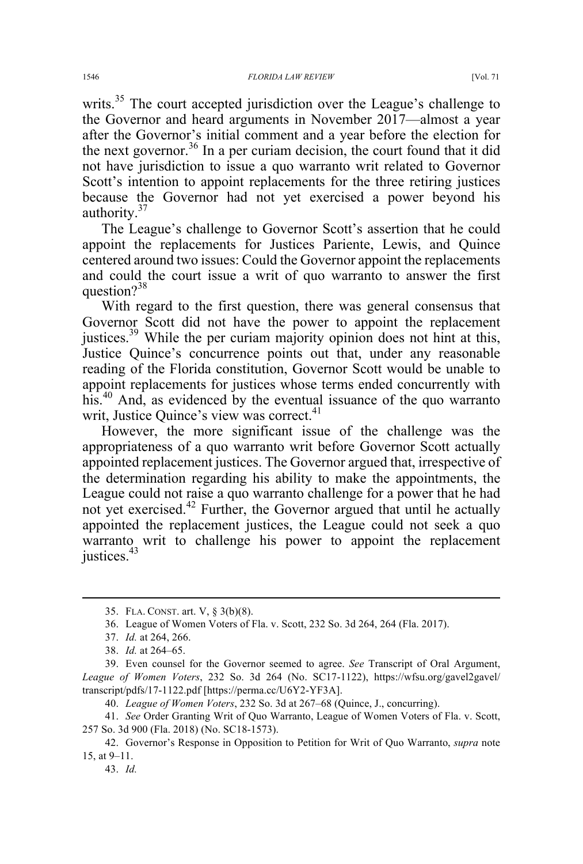writs.<sup>35</sup> The court accepted jurisdiction over the League's challenge to the Governor and heard arguments in November 2017—almost a year after the Governor's initial comment and a year before the election for the next governor.<sup>36</sup> In a per curiam decision, the court found that it did not have jurisdiction to issue a quo warranto writ related to Governor Scott's intention to appoint replacements for the three retiring justices because the Governor had not yet exercised a power beyond his authority.<sup>37</sup>

The League's challenge to Governor Scott's assertion that he could appoint the replacements for Justices Pariente, Lewis, and Quince centered around two issues: Could the Governor appoint the replacements and could the court issue a writ of quo warranto to answer the first question?<sup>38</sup>

With regard to the first question, there was general consensus that Governor Scott did not have the power to appoint the replacement justices.<sup>39</sup> While the per curiam majority opinion does not hint at this, Justice Quince's concurrence points out that, under any reasonable reading of the Florida constitution, Governor Scott would be unable to appoint replacements for justices whose terms ended concurrently with his.<sup>40</sup> And, as evidenced by the eventual issuance of the quo warranto writ, Justice Quince's view was correct.<sup>41</sup>

However, the more significant issue of the challenge was the appropriateness of a quo warranto writ before Governor Scott actually appointed replacement justices. The Governor argued that, irrespective of the determination regarding his ability to make the appointments, the League could not raise a quo warranto challenge for a power that he had not yet exercised.<sup>42</sup> Further, the Governor argued that until he actually appointed the replacement justices, the League could not seek a quo warranto writ to challenge his power to appoint the replacement iustices. $43$ 

 <sup>35.</sup> FLA. CONST. art. V, § 3(b)(8).

<sup>36.</sup> League of Women Voters of Fla. v. Scott, 232 So. 3d 264, 264 (Fla. 2017).

<sup>37.</sup> *Id.* at 264, 266.

<sup>38.</sup> *Id.* at 264–65.

<sup>39.</sup> Even counsel for the Governor seemed to agree. *See* Transcript of Oral Argument, League of Women Voters, 232 So. 3d 264 (No. SC17-1122), https://wfsu.org/gavel2gavel/ transcript/pdfs/17-1122.pdf [https://perma.cc/U6Y2-YF3A].

<sup>40.</sup> *League of Women Voters*, 232 So. 3d at 267–68 (Quince, J., concurring).

<sup>41.</sup> *See* Order Granting Writ of Quo Warranto, League of Women Voters of Fla. v. Scott, 257 So. 3d 900 (Fla. 2018) (No. SC18-1573).

<sup>42.</sup> Governor's Response in Opposition to Petition for Writ of Quo Warranto, *supra* note 15, at 9–11.

<sup>43.</sup> *Id.*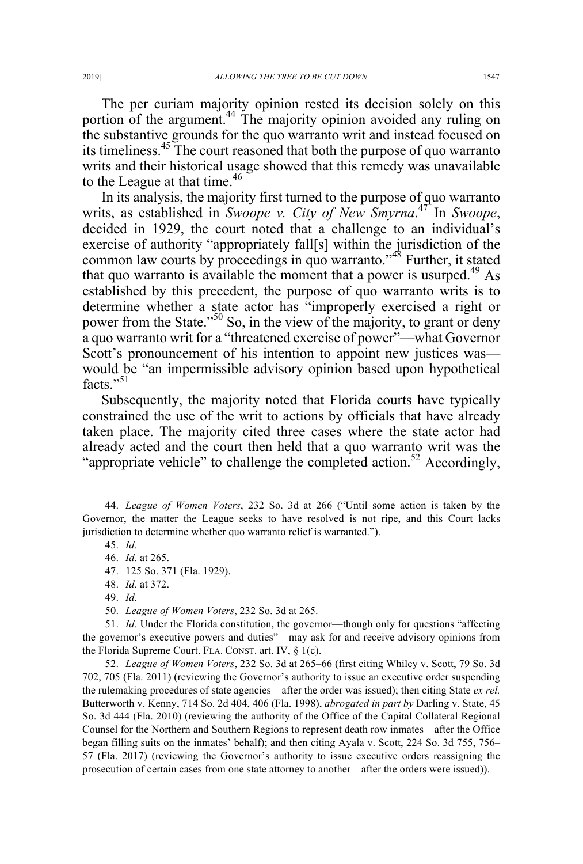The per curiam majority opinion rested its decision solely on this portion of the argument.<sup>44</sup> The majority opinion avoided any ruling on

the substantive grounds for the quo warranto writ and instead focused on its timeliness.45 The court reasoned that both the purpose of quo warranto writs and their historical usage showed that this remedy was unavailable to the League at that time.<sup>46</sup>

In its analysis, the majority first turned to the purpose of quo warranto writs, as established in *Swoope v. City of New Smyrna*. <sup>47</sup> In *Swoope*, decided in 1929, the court noted that a challenge to an individual's exercise of authority "appropriately fall[s] within the jurisdiction of the common law courts by proceedings in quo warranto."48 Further, it stated that quo warranto is available the moment that a power is usurped.<sup>49</sup> As established by this precedent, the purpose of quo warranto writs is to determine whether a state actor has "improperly exercised a right or power from the State."<sup>50</sup> So, in the view of the majority, to grant or deny a quo warranto writ for a "threatened exercise of power"—what Governor Scott's pronouncement of his intention to appoint new justices was would be "an impermissible advisory opinion based upon hypothetical facts $"$ <sup>51</sup>

Subsequently, the majority noted that Florida courts have typically constrained the use of the writ to actions by officials that have already taken place. The majority cited three cases where the state actor had already acted and the court then held that a quo warranto writ was the "appropriate vehicle" to challenge the completed action.<sup>52</sup> Accordingly,

 <sup>44.</sup> *League of Women Voters*, 232 So. 3d at 266 ("Until some action is taken by the Governor, the matter the League seeks to have resolved is not ripe, and this Court lacks jurisdiction to determine whether quo warranto relief is warranted.").

<sup>45.</sup> *Id.*

<sup>46.</sup> *Id.* at 265.

<sup>47.</sup> 125 So. 371 (Fla. 1929).

<sup>48.</sup> *Id.* at 372.

<sup>49.</sup> *Id.*

<sup>50.</sup> *League of Women Voters*, 232 So. 3d at 265.

<sup>51.</sup> *Id.* Under the Florida constitution, the governor—though only for questions "affecting the governor's executive powers and duties"—may ask for and receive advisory opinions from the Florida Supreme Court. FLA. CONST. art. IV, § 1(c).

<sup>52.</sup> *League of Women Voters*, 232 So. 3d at 265–66 (first citing Whiley v. Scott, 79 So. 3d 702, 705 (Fla. 2011) (reviewing the Governor's authority to issue an executive order suspending the rulemaking procedures of state agencies—after the order was issued); then citing State *ex rel.* Butterworth v. Kenny, 714 So. 2d 404, 406 (Fla. 1998), *abrogated in part by* Darling v. State, 45 So. 3d 444 (Fla. 2010) (reviewing the authority of the Office of the Capital Collateral Regional Counsel for the Northern and Southern Regions to represent death row inmates—after the Office began filling suits on the inmates' behalf); and then citing Ayala v. Scott, 224 So. 3d 755, 756– 57 (Fla. 2017) (reviewing the Governor's authority to issue executive orders reassigning the prosecution of certain cases from one state attorney to another—after the orders were issued)).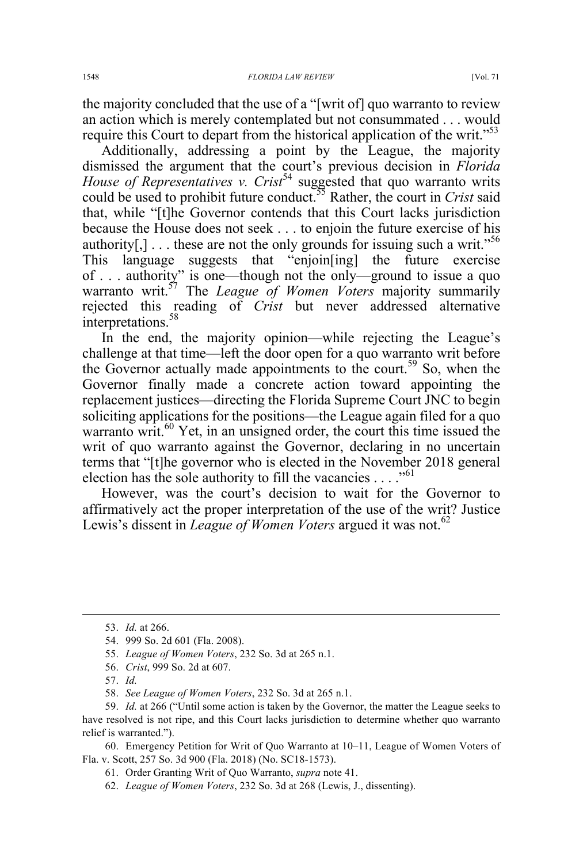the majority concluded that the use of a "[writ of] quo warranto to review an action which is merely contemplated but not consummated . . . would require this Court to depart from the historical application of the writ."<sup>53</sup>

Additionally, addressing a point by the League, the majority dismissed the argument that the court's previous decision in *Florida House of Representatives v. Crist*<sup>54</sup> suggested that quo warranto writs could be used to prohibit future conduct.55 Rather, the court in *Crist* said that, while "[t]he Governor contends that this Court lacks jurisdiction because the House does not seek . . . to enjoin the future exercise of his authority[,]  $\ldots$  these are not the only grounds for issuing such a writ."<sup>56</sup> This language suggests that "enjoin[ing] the future exercise of . . . authority" is one—though not the only—ground to issue a quo warranto writ.<sup>57</sup> The *League of Women Voters* majority summarily rejected this reading of *Crist* but never addressed alternative interpretations. 58

In the end, the majority opinion—while rejecting the League's challenge at that time—left the door open for a quo warranto writ before the Governor actually made appointments to the court.<sup>59</sup> So, when the Governor finally made a concrete action toward appointing the replacement justices—directing the Florida Supreme Court JNC to begin soliciting applications for the positions—the League again filed for a quo warranto writ.<sup>60</sup> Yet, in an unsigned order, the court this time issued the writ of quo warranto against the Governor, declaring in no uncertain terms that "[t]he governor who is elected in the November 2018 general election has the sole authority to fill the vacancies  $\dots$ ."<sup>61</sup>

However, was the court's decision to wait for the Governor to affirmatively act the proper interpretation of the use of the writ? Justice Lewis's dissent in *League of Women Voters* argued it was not.<sup>62</sup>

59. *Id.* at 266 ("Until some action is taken by the Governor, the matter the League seeks to have resolved is not ripe, and this Court lacks jurisdiction to determine whether quo warranto relief is warranted.").

60. Emergency Petition for Writ of Quo Warranto at 10–11, League of Women Voters of Fla. v. Scott, 257 So. 3d 900 (Fla. 2018) (No. SC18-1573).

 <sup>53.</sup> *Id.* at 266.

<sup>54.</sup> 999 So. 2d 601 (Fla. 2008).

<sup>55.</sup> *League of Women Voters*, 232 So. 3d at 265 n.1.

<sup>56.</sup> *Crist*, 999 So. 2d at 607.

<sup>57.</sup> *Id.*

<sup>58.</sup> *See League of Women Voters*, 232 So. 3d at 265 n.1.

<sup>61.</sup> Order Granting Writ of Quo Warranto, *supra* note 41.

<sup>62.</sup> *League of Women Voters*, 232 So. 3d at 268 (Lewis, J., dissenting).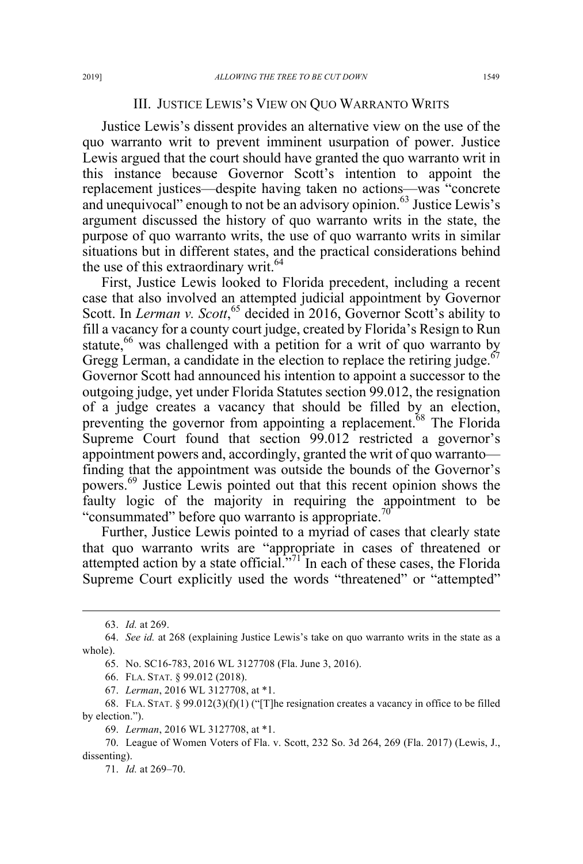### III. JUSTICE LEWIS'S VIEW ON QUO WARRANTO WRITS

Justice Lewis's dissent provides an alternative view on the use of the quo warranto writ to prevent imminent usurpation of power. Justice Lewis argued that the court should have granted the quo warranto writ in this instance because Governor Scott's intention to appoint the replacement justices—despite having taken no actions—was "concrete and unequivocal" enough to not be an advisory opinion. $63$  Justice Lewis's argument discussed the history of quo warranto writs in the state, the purpose of quo warranto writs, the use of quo warranto writs in similar situations but in different states, and the practical considerations behind the use of this extraordinary writ.<sup>64</sup>

First, Justice Lewis looked to Florida precedent, including a recent case that also involved an attempted judicial appointment by Governor Scott. In *Lerman v. Scott*,<sup>65</sup> decided in 2016, Governor Scott's ability to fill a vacancy for a county court judge, created by Florida's Resign to Run statute,<sup>66</sup> was challenged with a petition for a writ of quo warranto by Gregg Lerman, a candidate in the election to replace the retiring judge. $67$ Governor Scott had announced his intention to appoint a successor to the outgoing judge, yet under Florida Statutes section 99.012, the resignation of a judge creates a vacancy that should be filled by an election, preventing the governor from appointing a replacement.<sup>68</sup> The Florida Supreme Court found that section 99.012 restricted a governor's appointment powers and, accordingly, granted the writ of quo warranto finding that the appointment was outside the bounds of the Governor's powers.<sup>69</sup> Justice Lewis pointed out that this recent opinion shows the faulty logic of the majority in requiring the appointment to be "consummated" before quo warranto is appropriate. $\frac{70}{6}$ 

Further, Justice Lewis pointed to a myriad of cases that clearly state that quo warranto writs are "appropriate in cases of threatened or attempted action by a state official. $\frac{1}{2}$  In each of these cases, the Florida Supreme Court explicitly used the words "threatened" or "attempted"

 <sup>63.</sup> *Id.* at 269.

<sup>64.</sup> *See id.* at 268 (explaining Justice Lewis's take on quo warranto writs in the state as a whole).

<sup>65.</sup> No. SC16-783, 2016 WL 3127708 (Fla. June 3, 2016).

<sup>66.</sup> FLA. STAT. § 99.012 (2018).

<sup>67.</sup> *Lerman*, 2016 WL 3127708, at \*1.

<sup>68.</sup> FLA. STAT. § 99.012(3)(f)(1) ("[T]he resignation creates a vacancy in office to be filled by election.").

<sup>69.</sup> *Lerman*, 2016 WL 3127708, at \*1.

<sup>70.</sup> League of Women Voters of Fla. v. Scott, 232 So. 3d 264, 269 (Fla. 2017) (Lewis, J., dissenting).

<sup>71.</sup> *Id.* at 269–70.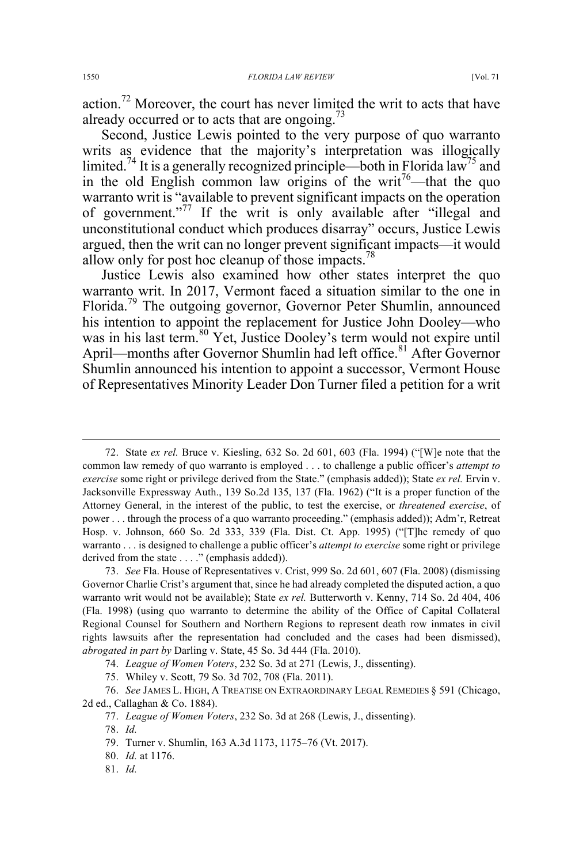action.<sup>72</sup> Moreover, the court has never limited the writ to acts that have already occurred or to acts that are ongoing.<sup>73</sup>

Second, Justice Lewis pointed to the very purpose of quo warranto writs as evidence that the majority's interpretation was illogically limited.<sup>74</sup> It is a generally recognized principle—both in Florida law<sup>75</sup> and in the old English common law origins of the writ<sup>76</sup>—that the quo warranto writ is "available to prevent significant impacts on the operation of government."<sup>77</sup> If the writ is only available after "illegal and unconstitutional conduct which produces disarray" occurs, Justice Lewis argued, then the writ can no longer prevent significant impacts—it would allow only for post hoc cleanup of those impacts.<sup>78</sup>

Justice Lewis also examined how other states interpret the quo warranto writ. In 2017, Vermont faced a situation similar to the one in Florida.<sup>79</sup> The outgoing governor, Governor Peter Shumlin, announced his intention to appoint the replacement for Justice John Dooley—who was in his last term.<sup>80</sup> Yet, Justice Dooley's term would not expire until April—months after Governor Shumlin had left office.<sup>81</sup> After Governor Shumlin announced his intention to appoint a successor, Vermont House of Representatives Minority Leader Don Turner filed a petition for a writ

74. *League of Women Voters*, 232 So. 3d at 271 (Lewis, J., dissenting).

78. *Id.*

 <sup>72.</sup> State *ex rel.* Bruce v. Kiesling, 632 So. 2d 601, 603 (Fla. 1994) ("[W]e note that the common law remedy of quo warranto is employed . . . to challenge a public officer's *attempt to exercise* some right or privilege derived from the State." (emphasis added)); State *ex rel.* Ervin v. Jacksonville Expressway Auth., 139 So.2d 135, 137 (Fla. 1962) ("It is a proper function of the Attorney General, in the interest of the public, to test the exercise, or *threatened exercise*, of power . . . through the process of a quo warranto proceeding." (emphasis added)); Adm'r, Retreat Hosp. v. Johnson, 660 So. 2d 333, 339 (Fla. Dist. Ct. App. 1995) ("[T]he remedy of quo warranto . . . is designed to challenge a public officer's *attempt to exercise* some right or privilege derived from the state . . . ." (emphasis added)).

<sup>73.</sup> *See* Fla. House of Representatives v. Crist, 999 So. 2d 601, 607 (Fla. 2008) (dismissing Governor Charlie Crist's argument that, since he had already completed the disputed action, a quo warranto writ would not be available); State *ex rel.* Butterworth v. Kenny, 714 So. 2d 404, 406 (Fla. 1998) (using quo warranto to determine the ability of the Office of Capital Collateral Regional Counsel for Southern and Northern Regions to represent death row inmates in civil rights lawsuits after the representation had concluded and the cases had been dismissed), *abrogated in part by* Darling v. State, 45 So. 3d 444 (Fla. 2010).

<sup>75.</sup> Whiley v. Scott, 79 So. 3d 702, 708 (Fla. 2011).

<sup>76.</sup> *See* JAMES L. HIGH, A TREATISE ON EXTRAORDINARY LEGAL REMEDIES § 591 (Chicago, 2d ed., Callaghan & Co. 1884).

<sup>77.</sup> *League of Women Voters*, 232 So. 3d at 268 (Lewis, J., dissenting).

<sup>79.</sup> Turner v. Shumlin, 163 A.3d 1173, 1175–76 (Vt. 2017).

<sup>80.</sup> *Id.* at 1176.

<sup>81.</sup> *Id.*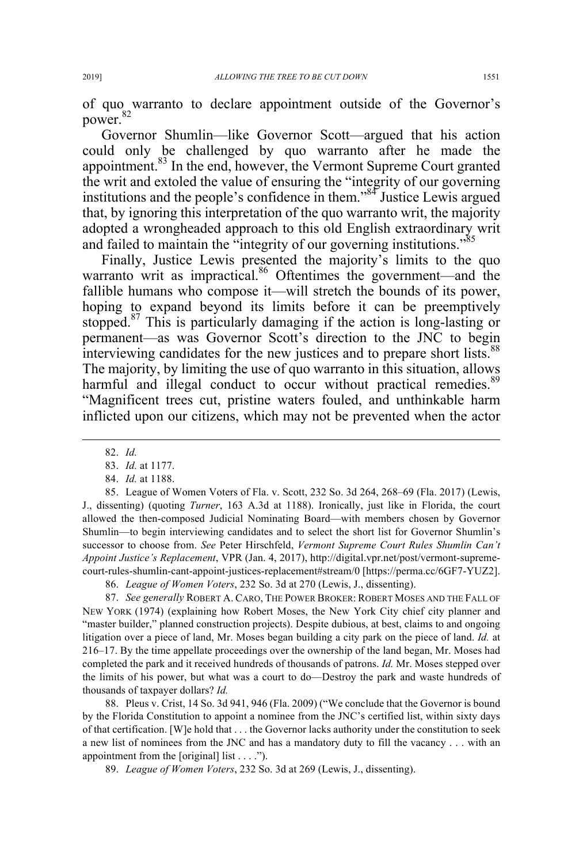of quo warranto to declare appointment outside of the Governor's power.<sup>82</sup>

Governor Shumlin—like Governor Scott—argued that his action could only be challenged by quo warranto after he made the appointment.<sup>83</sup> In the end, however, the Vermont Supreme Court granted the writ and extoled the value of ensuring the "integrity of our governing institutions and the people's confidence in them."84 Justice Lewis argued that, by ignoring this interpretation of the quo warranto writ, the majority adopted a wrongheaded approach to this old English extraordinary writ and failed to maintain the "integrity of our governing institutions."<sup>85</sup>

Finally, Justice Lewis presented the majority's limits to the quo warranto writ as impractical.<sup>86</sup> Oftentimes the government—and the fallible humans who compose it—will stretch the bounds of its power, hoping to expand beyond its limits before it can be preemptively stopped.<sup>87</sup> This is particularly damaging if the action is long-lasting or permanent—as was Governor Scott's direction to the JNC to begin interviewing candidates for the new justices and to prepare short lists.<sup>88</sup> The majority, by limiting the use of quo warranto in this situation, allows harmful and illegal conduct to occur without practical remedies.<sup>89</sup> "Magnificent trees cut, pristine waters fouled, and unthinkable harm inflicted upon our citizens, which may not be prevented when the actor

85. League of Women Voters of Fla. v. Scott, 232 So. 3d 264, 268–69 (Fla. 2017) (Lewis, J., dissenting) (quoting *Turner*, 163 A.3d at 1188). Ironically, just like in Florida, the court allowed the then-composed Judicial Nominating Board—with members chosen by Governor Shumlin—to begin interviewing candidates and to select the short list for Governor Shumlin's successor to choose from. *See* Peter Hirschfeld, *Vermont Supreme Court Rules Shumlin Can't Appoint Justice's Replacement*, VPR (Jan. 4, 2017), http://digital.vpr.net/post/vermont-supremecourt-rules-shumlin-cant-appoint-justices-replacement#stream/0 [https://perma.cc/6GF7-YUZ2].

86. *League of Women Voters*, 232 So. 3d at 270 (Lewis, J., dissenting).

87. *See generally* ROBERT A. CARO, THE POWER BROKER: ROBERT MOSES AND THE FALL OF NEW YORK (1974) (explaining how Robert Moses, the New York City chief city planner and "master builder," planned construction projects). Despite dubious, at best, claims to and ongoing litigation over a piece of land, Mr. Moses began building a city park on the piece of land. *Id.* at 216–17. By the time appellate proceedings over the ownership of the land began, Mr. Moses had completed the park and it received hundreds of thousands of patrons. *Id.* Mr. Moses stepped over the limits of his power, but what was a court to do—Destroy the park and waste hundreds of thousands of taxpayer dollars? *Id.*

88. Pleus v. Crist, 14 So. 3d 941, 946 (Fla. 2009) ("We conclude that the Governor is bound by the Florida Constitution to appoint a nominee from the JNC's certified list, within sixty days of that certification. [W]e hold that . . . the Governor lacks authority under the constitution to seek a new list of nominees from the JNC and has a mandatory duty to fill the vacancy . . . with an appointment from the [original] list . . . .").

89. *League of Women Voters*, 232 So. 3d at 269 (Lewis, J., dissenting).

 <sup>82.</sup> *Id.*

<sup>83.</sup> *Id.* at 1177.

<sup>84.</sup> *Id.* at 1188.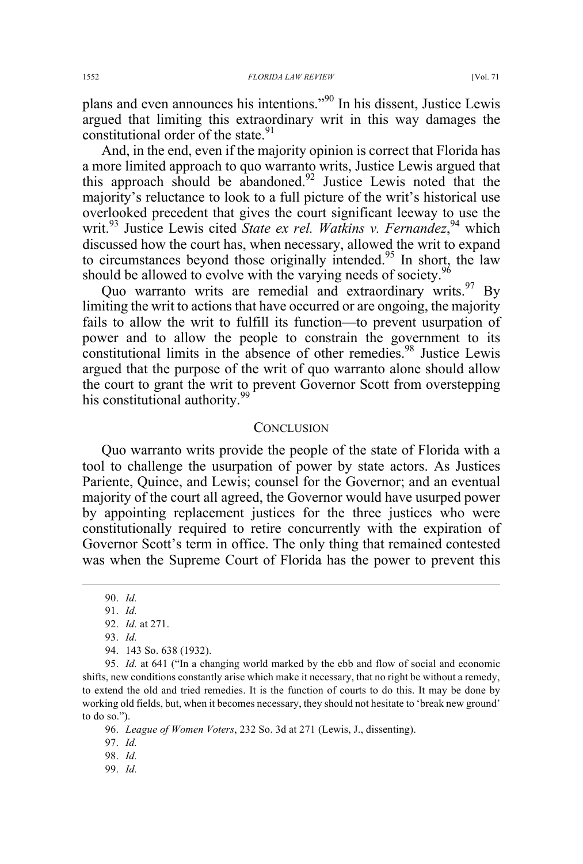plans and even announces his intentions."90 In his dissent, Justice Lewis argued that limiting this extraordinary writ in this way damages the constitutional order of the state.<sup>91</sup>

And, in the end, even if the majority opinion is correct that Florida has a more limited approach to quo warranto writs, Justice Lewis argued that this approach should be abandoned.<sup>92</sup> Justice Lewis noted that the majority's reluctance to look to a full picture of the writ's historical use overlooked precedent that gives the court significant leeway to use the writ.<sup>93</sup> Justice Lewis cited *State ex rel. Watkins v. Fernandez*, <sup>94</sup> which discussed how the court has, when necessary, allowed the writ to expand to circumstances beyond those originally intended.<sup>95</sup> In short, the law should be allowed to evolve with the varying needs of society.<sup>96</sup>

Quo warranto writs are remedial and extraordinary writs.  $97\,$  By limiting the writ to actions that have occurred or are ongoing, the majority fails to allow the writ to fulfill its function—to prevent usurpation of power and to allow the people to constrain the government to its constitutional limits in the absence of other remedies.<sup>98</sup> Justice Lewis argued that the purpose of the writ of quo warranto alone should allow the court to grant the writ to prevent Governor Scott from overstepping his constitutional authority.<sup>99</sup>

#### **CONCLUSION**

Quo warranto writs provide the people of the state of Florida with a tool to challenge the usurpation of power by state actors. As Justices Pariente, Quince, and Lewis; counsel for the Governor; and an eventual majority of the court all agreed, the Governor would have usurped power by appointing replacement justices for the three justices who were constitutionally required to retire concurrently with the expiration of Governor Scott's term in office. The only thing that remained contested was when the Supreme Court of Florida has the power to prevent this

99. *Id.*

 <sup>90.</sup> *Id.*

<sup>91.</sup> *Id.*

<sup>92.</sup> *Id.* at 271.

<sup>93.</sup> *Id.*

<sup>94.</sup> 143 So. 638 (1932).

<sup>95.</sup> *Id.* at 641 ("In a changing world marked by the ebb and flow of social and economic shifts, new conditions constantly arise which make it necessary, that no right be without a remedy, to extend the old and tried remedies. It is the function of courts to do this. It may be done by working old fields, but, when it becomes necessary, they should not hesitate to 'break new ground' to do so.").

<sup>96.</sup> *League of Women Voters*, 232 So. 3d at 271 (Lewis, J., dissenting).

<sup>97.</sup> *Id.*

<sup>98.</sup> *Id.*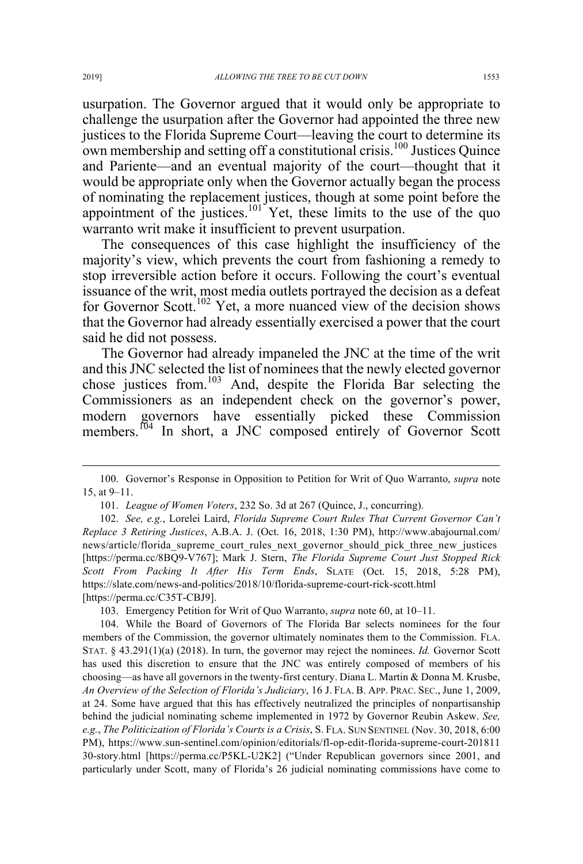usurpation. The Governor argued that it would only be appropriate to challenge the usurpation after the Governor had appointed the three new justices to the Florida Supreme Court—leaving the court to determine its own membership and setting off a constitutional crisis.<sup>100</sup> Justices Ouince and Pariente—and an eventual majority of the court—thought that it would be appropriate only when the Governor actually began the process of nominating the replacement justices, though at some point before the appointment of the justices.<sup>101</sup> Yet, these limits to the use of the quo warranto writ make it insufficient to prevent usurpation.

The consequences of this case highlight the insufficiency of the majority's view, which prevents the court from fashioning a remedy to stop irreversible action before it occurs. Following the court's eventual issuance of the writ, most media outlets portrayed the decision as a defeat for Governor Scott.<sup>102</sup> Yet, a more nuanced view of the decision shows that the Governor had already essentially exercised a power that the court said he did not possess.

The Governor had already impaneled the JNC at the time of the writ and this JNC selected the list of nominees that the newly elected governor chose justices from.<sup>103</sup> And, despite the Florida Bar selecting the Commissioners as an independent check on the governor's power, modern governors have essentially picked these Commission members.<sup>104</sup> In short, a JNC composed entirely of Governor Scott

103. Emergency Petition for Writ of Quo Warranto, *supra* note 60, at 10–11.

 <sup>100.</sup> Governor's Response in Opposition to Petition for Writ of Quo Warranto, *supra* note 15, at 9–11.

<sup>101.</sup> *League of Women Voters*, 232 So. 3d at 267 (Quince, J., concurring).

<sup>102.</sup> *See, e.g.*, Lorelei Laird, *Florida Supreme Court Rules That Current Governor Can't Replace 3 Retiring Justices*, A.B.A. J. (Oct. 16, 2018, 1:30 PM), http://www.abajournal.com/ news/article/florida\_supreme\_court\_rules\_next\_governor\_should\_pick\_three\_new\_justices [https://perma.cc/8BQ9-V767]; Mark J. Stern, *The Florida Supreme Court Just Stopped Rick Scott From Packing It After His Term Ends*, SLATE (Oct. 15, 2018, 5:28 PM), https://slate.com/news-and-politics/2018/10/florida-supreme-court-rick-scott.html [https://perma.cc/C35T-CBJ9].

<sup>104.</sup> While the Board of Governors of The Florida Bar selects nominees for the four members of the Commission, the governor ultimately nominates them to the Commission. FLA. STAT. § 43.291(1)(a) (2018). In turn, the governor may reject the nominees. *Id.* Governor Scott has used this discretion to ensure that the JNC was entirely composed of members of his choosing—as have all governors in the twenty-first century. Diana L. Martin & Donna M. Krusbe, *An Overview of the Selection of Florida's Judiciary*, 16 J. FLA. B. APP. PRAC. SEC., June 1, 2009, at 24. Some have argued that this has effectively neutralized the principles of nonpartisanship behind the judicial nominating scheme implemented in 1972 by Governor Reubin Askew. *See, e.g.*, *The Politicization of Florida's Courts is a Crisis*, S. FLA. SUN SENTINEL (Nov. 30, 2018, 6:00 PM), https://www.sun-sentinel.com/opinion/editorials/fl-op-edit-florida-supreme-court-201811 30-story.html [https://perma.cc/P5KL-U2K2] ("Under Republican governors since 2001, and particularly under Scott, many of Florida's 26 judicial nominating commissions have come to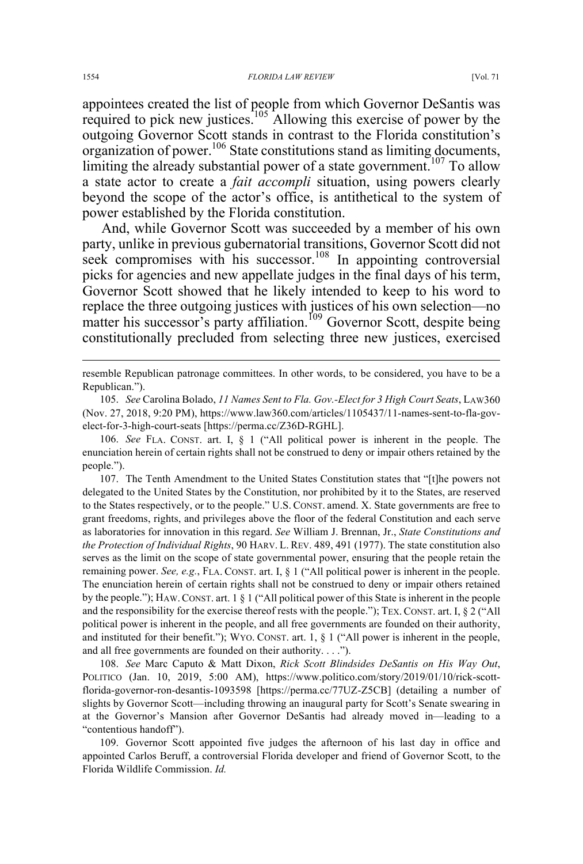appointees created the list of people from which Governor DeSantis was required to pick new justices.<sup>105</sup> Allowing this exercise of power by the outgoing Governor Scott stands in contrast to the Florida constitution's organization of power.106 State constitutions stand as limiting documents, limiting the already substantial power of a state government.<sup>107</sup> To allow a state actor to create a *fait accompli* situation, using powers clearly beyond the scope of the actor's office, is antithetical to the system of power established by the Florida constitution.

And, while Governor Scott was succeeded by a member of his own party, unlike in previous gubernatorial transitions, Governor Scott did not seek compromises with his successor.<sup>108</sup> In appointing controversial picks for agencies and new appellate judges in the final days of his term, Governor Scott showed that he likely intended to keep to his word to replace the three outgoing justices with justices of his own selection—no matter his successor's party affiliation.<sup>109</sup> Governor Scott, despite being constitutionally precluded from selecting three new justices, exercised

 resemble Republican patronage committees. In other words, to be considered, you have to be a Republican.").

105. *See* Carolina Bolado, *11 Names Sent to Fla. Gov.-Elect for 3 High Court Seats*, LAW360 (Nov. 27, 2018, 9:20 PM), https://www.law360.com/articles/1105437/11-names-sent-to-fla-govelect-for-3-high-court-seats [https://perma.cc/Z36D-RGHL].

106. *See* FLA. CONST. art. I, § 1 ("All political power is inherent in the people. The enunciation herein of certain rights shall not be construed to deny or impair others retained by the people.").

107. The Tenth Amendment to the United States Constitution states that "[t]he powers not delegated to the United States by the Constitution, nor prohibited by it to the States, are reserved to the States respectively, or to the people." U.S. CONST. amend. X. State governments are free to grant freedoms, rights, and privileges above the floor of the federal Constitution and each serve as laboratories for innovation in this regard. *See* William J. Brennan, Jr., *State Constitutions and the Protection of Individual Rights*, 90 HARV. L. REV. 489, 491 (1977). The state constitution also serves as the limit on the scope of state governmental power, ensuring that the people retain the remaining power. *See, e.g.*, FLA. CONST. art. I, § 1 ("All political power is inherent in the people. The enunciation herein of certain rights shall not be construed to deny or impair others retained by the people."); HAW.CONST. art. 1 § 1 ("All political power of this State is inherent in the people and the responsibility for the exercise thereof rests with the people."); TEX. CONST. art. I, § 2 ("All political power is inherent in the people, and all free governments are founded on their authority, and instituted for their benefit."); WYO. CONST. art. 1, § 1 ("All power is inherent in the people, and all free governments are founded on their authority. . . .").

108. *See* Marc Caputo & Matt Dixon, *Rick Scott Blindsides DeSantis on His Way Out*, POLITICO (Jan. 10, 2019, 5:00 AM), https://www.politico.com/story/2019/01/10/rick-scottflorida-governor-ron-desantis-1093598 [https://perma.cc/77UZ-Z5CB] (detailing a number of slights by Governor Scott—including throwing an inaugural party for Scott's Senate swearing in at the Governor's Mansion after Governor DeSantis had already moved in—leading to a "contentious handoff").

109. Governor Scott appointed five judges the afternoon of his last day in office and appointed Carlos Beruff, a controversial Florida developer and friend of Governor Scott, to the Florida Wildlife Commission. *Id.*